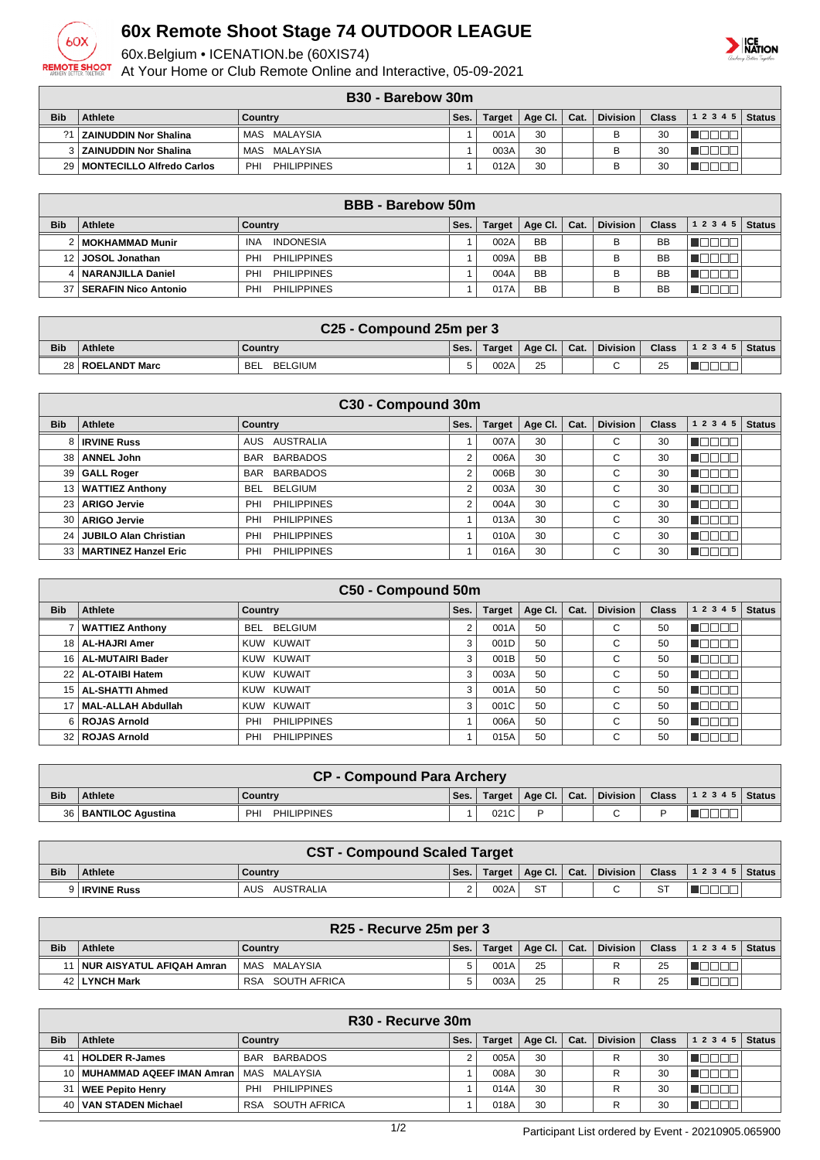

## **60x Remote Shoot Stage 74 OUTDOOR LEAGUE**

60x.Belgium • ICENATION.be (60XIS74)

At Your Home or Club Remote Online and Interactive, 05-09-2021



## **B30 - Barebow 30m**

|                 | ---<br>PURVYVIII               |                           |      |               |         |      |                 |       |           |        |  |  |
|-----------------|--------------------------------|---------------------------|------|---------------|---------|------|-----------------|-------|-----------|--------|--|--|
| <b>Bib</b>      | Athlete                        | Country                   | Ses. | <b>Target</b> | Age Cl. | Cat. | <b>Division</b> | Class | 1 2 3 4 5 | Status |  |  |
| 21 <sub>1</sub> | ZAINUDDIN Nor Shalina          | MALAYSIA<br>MAS           |      | 001A          | 30      |      |                 | 30    |           |        |  |  |
|                 | 3 ZAINUDDIN Nor Shalina        | MALAYSIA<br>MAS           |      | 003A          | 30      |      |                 | 30    |           |        |  |  |
|                 | 29   MONTECILLO Alfredo Carlos | <b>PHILIPPINES</b><br>PHI |      | 012A          | 30      |      |                 | 30    |           |        |  |  |

|            | <b>BBB</b> - Barebow 50m    |                                |      |               |           |      |                 |              |        |               |  |  |
|------------|-----------------------------|--------------------------------|------|---------------|-----------|------|-----------------|--------------|--------|---------------|--|--|
| <b>Bib</b> | Athlete                     | Country                        | Ses. | <b>Target</b> | Age Cl.   | Cat. | <b>Division</b> | <b>Class</b> | 12345  | <b>Status</b> |  |  |
|            | 2   MOKHAMMAD Munir         | <b>INDONESIA</b><br><b>INA</b> |      | 002A          | <b>BB</b> |      | В               | <b>BB</b>    | ────── |               |  |  |
|            | JOSOL Jonathan              | PHI<br><b>PHILIPPINES</b>      |      | 009A          | <b>BB</b> |      | в               | <b>BB</b>    |        |               |  |  |
|            | 4   NARANJILLA Daniel       | <b>PHILIPPINES</b><br>PHI      |      | 004A          | <b>BB</b> |      | В               | <b>BB</b>    |        |               |  |  |
|            | <b>SERAFIN Nico Antonio</b> | <b>PHILIPPINES</b><br>PHI      |      | 017A          | <b>BB</b> |      | В               | BB           |        |               |  |  |

|            | C <sub>25</sub> - Compound 25m per 3 |                       |      |        |    |  |  |    |                                                                                                |  |  |  |
|------------|--------------------------------------|-----------------------|------|--------|----|--|--|----|------------------------------------------------------------------------------------------------|--|--|--|
| <b>Bib</b> | <b>Athlete</b>                       | Countrv               | Ses. | Target |    |  |  |    | $\vert$ Age Cl. $\vert$ Cat.   Division $\vert$ Class $\vert$ 1 2 3 4 5 $\vert$ Status $\vert$ |  |  |  |
|            | 28   ROELANDT Marc                   | BELGIUM<br><b>BEL</b> |      | 002A   | 25 |  |  | 25 |                                                                                                |  |  |  |

| C30 - Compound 30m |                              |                               |      |               |         |      |                 |              |           |               |  |  |
|--------------------|------------------------------|-------------------------------|------|---------------|---------|------|-----------------|--------------|-----------|---------------|--|--|
| <b>Bib</b>         | Athlete                      | Country                       | Ses. | <b>Target</b> | Age Cl. | Cat. | <b>Division</b> | <b>Class</b> | 1 2 3 4 5 | <b>Status</b> |  |  |
| 8                  | <b>IRVINE Russ</b>           | AUSTRALIA<br>AUS              |      | 007A          | 30      |      | С               | 30           |           |               |  |  |
| 38                 | <b>ANNEL John</b>            | <b>BARBADOS</b><br><b>BAR</b> | ີ    | 006A          | 30      |      | ⌒<br>◡          | 30           |           |               |  |  |
| 39 <sup>1</sup>    | GALL Roger                   | <b>BARBADOS</b><br><b>BAR</b> | 2    | 006B          | 30      |      | $\sim$<br>U     | 30           |           |               |  |  |
| 13 <sup>1</sup>    | <b>WATTIEZ Anthony</b>       | BELGIUM<br><b>BEL</b>         | 2    | 003A          | 30      |      | $\sim$<br>U     | 30           | 3000      |               |  |  |
| 23                 | <b>ARIGO Jervie</b>          | <b>PHILIPPINES</b><br>PHI     | 2    | 004A          | 30      |      | $\sim$<br>U     | 30           |           |               |  |  |
| 30                 | <b>ARIGO Jervie</b>          | <b>PHILIPPINES</b><br>PHI     |      | 013A          | 30      |      | С               | 30           |           |               |  |  |
| 24                 | <b>JUBILO Alan Christian</b> | <b>PHILIPPINES</b><br>PHI     |      | 010A          | 30      |      | $\sim$<br>◡     | 30           |           |               |  |  |
| 33 <sup>1</sup>    | MARTINEZ Hanzel Eric         | <b>PHILIPPINES</b><br>PHI     |      | 016A          | 30      |      | $\sim$<br>U     | 30           |           |               |  |  |

| C50 - Compound 50m |                                                                                                                                 |                           |   |      |    |  |   |    |       |  |  |  |  |
|--------------------|---------------------------------------------------------------------------------------------------------------------------------|---------------------------|---|------|----|--|---|----|-------|--|--|--|--|
| <b>Bib</b>         | <b>Division</b><br><b>Status</b><br>1 2 3 4 5<br>Athlete<br>Age Cl.<br><b>Class</b><br>Ses.<br><b>Target</b><br>Cat.<br>Country |                           |   |      |    |  |   |    |       |  |  |  |  |
|                    | <b>WATTIEZ Anthony</b>                                                                                                          | BEL BELGIUM               | 2 | 001A | 50 |  | С | 50 | H     |  |  |  |  |
|                    | 18   AL-HAJRI Amer                                                                                                              | KUW KUWAIT                | 3 | 001D | 50 |  | С | 50 | - III |  |  |  |  |
|                    | 16   AL-MUTAIRI Bader                                                                                                           | KUW KUWAIT                | 3 | 001B | 50 |  | С | 50 |       |  |  |  |  |
|                    | 22   AL-OTAIBI Hatem                                                                                                            | KUW KUWAIT                | 3 | 003A | 50 |  | С | 50 |       |  |  |  |  |
|                    | 15   AL-SHATTI Ahmed                                                                                                            | KUW KUWAIT                | 3 | 001A | 50 |  | С | 50 | - 11  |  |  |  |  |
|                    | MAL-ALLAH Abdullah                                                                                                              | KUW KUWAIT                | 3 | 001C | 50 |  | С | 50 |       |  |  |  |  |
|                    | 6 ROJAS Arnold                                                                                                                  | <b>PHILIPPINES</b><br>PHI |   | 006A | 50 |  | С | 50 | □□    |  |  |  |  |
|                    | 32 ROJAS Arnold                                                                                                                 | <b>PHILIPPINES</b><br>PHI |   | 015A | 50 |  | С | 50 |       |  |  |  |  |

|            | <b>CP - Compound Para Archery</b> |                                       |      |        |                |  |          |  |                                                |  |  |  |
|------------|-----------------------------------|---------------------------------------|------|--------|----------------|--|----------|--|------------------------------------------------|--|--|--|
| <b>Bib</b> | <b>Athlete</b>                    | <b>Country</b>                        | Ses. | Target | Age Cl.   Cat. |  | Division |  | Class $\vert$ 1 2 3 4 5 $\vert$ Status $\vert$ |  |  |  |
|            | 36   BANTILOC Agustina            | PH <sub>1</sub><br><b>PHILIPPINES</b> |      | 021C   |                |  |          |  |                                                |  |  |  |

|            | <b>CST - Compound Scaled Target</b> |                  |      |        |                |  |          |    |                                        |  |  |
|------------|-------------------------------------|------------------|------|--------|----------------|--|----------|----|----------------------------------------|--|--|
| <b>Bib</b> | <b>Athlete</b>                      | Country          | Ses. | Target | Age Cl.   Cat. |  | Division |    | Class $\vert$ 1 2 3 4 5 $\vert$ Status |  |  |
|            | 9 <b>IRVINE Russ</b>                | AUS<br>AUSTRALIA |      | 002A   | <b>ST</b>      |  |          | ST |                                        |  |  |

|            | R25 - Recurve 25m per 3        |                     |      |        |                            |  |                 |              |                |  |  |  |
|------------|--------------------------------|---------------------|------|--------|----------------------------|--|-----------------|--------------|----------------|--|--|--|
| <b>Bib</b> | Athlete                        | Country             | Ses. | Target | $\mid$ Age Cl. $\mid$ Cat. |  | <b>Division</b> | <b>Class</b> | $12345$ Status |  |  |  |
|            | 11   NUR AISYATUL AFIQAH Amran | MAS MALAYSIA        |      | 001A   | 25                         |  |                 | 25           |                |  |  |  |
|            | 42   LYNCH Mark                | SOUTH AFRICA<br>RSA |      | 003A   | 25                         |  |                 | 25           |                |  |  |  |

|            | R30 - Recurve 30m                             |                            |      |        |         |      |                 |              |       |               |  |  |
|------------|-----------------------------------------------|----------------------------|------|--------|---------|------|-----------------|--------------|-------|---------------|--|--|
| <b>Bib</b> | Athlete                                       | Country                    | Ses. | Target | Age Cl. | Cat. | <b>Division</b> | <b>Class</b> | 12345 | <b>Status</b> |  |  |
| 41         | <b>HOLDER R-James</b>                         | BARBADOS<br><b>BAR</b>     |      | 005A   | 30      |      |                 | 30           |       |               |  |  |
|            | 10   MUHAMMAD AQEEF IMAN Amran   MAS MALAYSIA |                            |      | 008A   | 30      |      |                 | 30           |       |               |  |  |
| 31         | <b>WEE Pepito Henry</b>                       | <b>PHILIPPINES</b><br>PHI  |      | 014A   | 30      |      |                 | 30           |       |               |  |  |
|            | 40   VAN STADEN Michael                       | SOUTH AFRICA<br><b>RSA</b> |      | 018A   | 30      |      |                 | 30           |       |               |  |  |